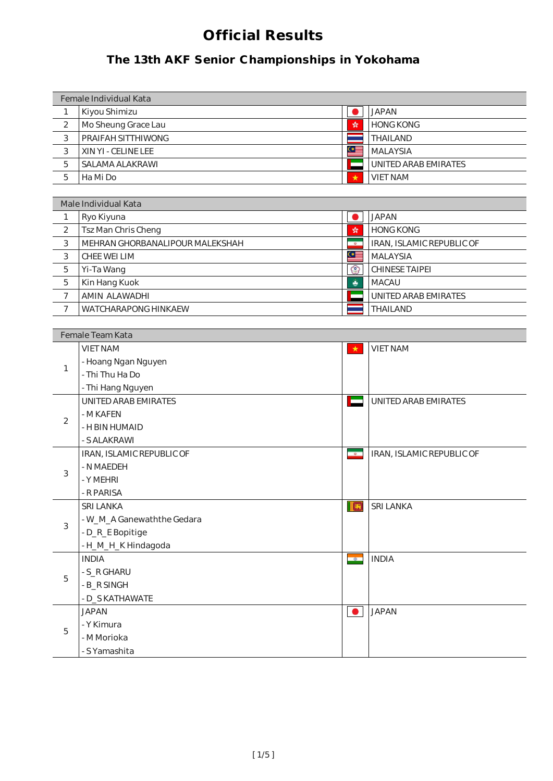| Female Individual Kata |                     |   |                             |
|------------------------|---------------------|---|-----------------------------|
|                        | Kiyou Shimizu       |   | <b>JAPAN</b>                |
| $\overline{2}$         | Mo Sheung Grace Lau | 紫 | <b>HONG KONG</b>            |
| 3                      | PRAIFAH SITTHIWONG  |   | <b>THAILAND</b>             |
| 3                      | XIN YI - CELINE LEE | ⊙ | <b>MALAYSIA</b>             |
| 5                      | SALAMA ALAKRAWI     |   | <b>UNITED ARAB EMIRATES</b> |
| 5                      | Ha Mi Do            | * | <b>VIET NAM</b>             |
|                        |                     |   |                             |

|                | <b>Female Team Kata</b>     |                          |                             |  |
|----------------|-----------------------------|--------------------------|-----------------------------|--|
|                | <b>VIET NAM</b>             | $\star$                  | <b>VIET NAM</b>             |  |
| 1              | - Hoang Ngan Nguyen         |                          |                             |  |
|                | - Thi Thu Ha Do             |                          |                             |  |
|                | - Thi Hang Nguyen           |                          |                             |  |
|                | <b>UNITED ARAB EMIRATES</b> | ⊏                        | <b>UNITED ARAB EMIRATES</b> |  |
| $\overline{2}$ | - MKAFEN                    |                          |                             |  |
|                | - H BIN HUMAID              |                          |                             |  |
|                | - S ALAKRAWI                |                          |                             |  |
|                | IRAN, ISLAMIC REPUBLIC OF   | $\frac{1}{\sqrt{2}}$     | IRAN, ISLAMIC REPUBLIC OF   |  |
| 3              | - N MAEDEH                  |                          |                             |  |
|                | - Y MEHRI                   |                          |                             |  |
|                | - R PARISA                  |                          |                             |  |
|                | <b>SRI LANKA</b>            | IE                       | <b>SRI LANKA</b>            |  |
| 3              | - W_M_A Ganewaththe Gedara  |                          |                             |  |
|                | - D_R_E Bopitige            |                          |                             |  |
|                | -H_M_H_K Hindagoda          |                          |                             |  |
|                | <b>INDIA</b>                | $\overline{\phantom{a}}$ | <b>INDIA</b>                |  |
| 5              | - S_R GHARU                 |                          |                             |  |
|                | - B_R SINGH                 |                          |                             |  |
|                | - D_S KATHAWATE             |                          |                             |  |
|                | <b>JAPAN</b>                | $\bullet$                | <b>JAPAN</b>                |  |
| 5              | - Y Kimura                  |                          |                             |  |
|                | - MMorioka                  |                          |                             |  |
|                | - S Yamashita               |                          |                             |  |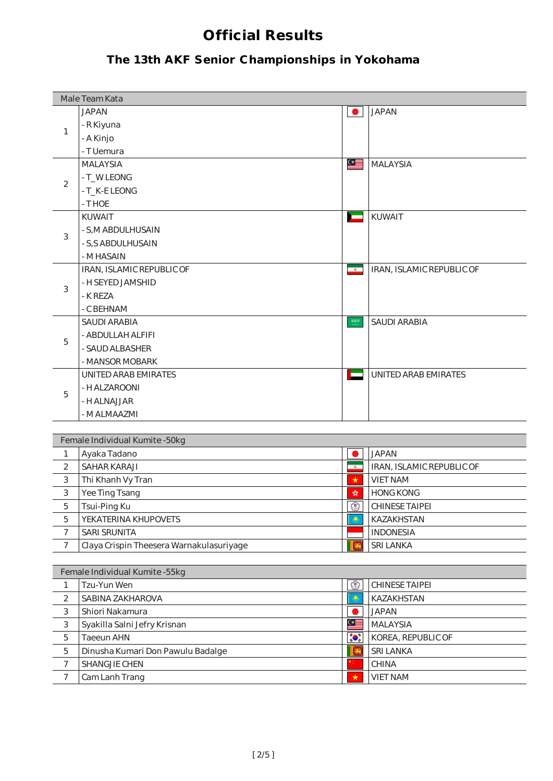|                | Male Team Kata                           |                                      |                           |
|----------------|------------------------------------------|--------------------------------------|---------------------------|
|                | <b>JAPAN</b>                             |                                      | <b>JAPAN</b>              |
| 1              | - R Kiyuna                               |                                      |                           |
|                | - A Kinjo                                |                                      |                           |
|                | - T Uemura                               |                                      |                           |
|                | <b>MALAYSIA</b>                          | ≌≝                                   | <b>MALAYSIA</b>           |
|                | - T_WLEONG                               |                                      |                           |
| $\overline{2}$ | - T_K-E LEONG                            |                                      |                           |
|                | - T HOE                                  |                                      |                           |
|                | <b>KUWAIT</b>                            | 一                                    | KUWAIT                    |
|                | - S, MABDULHUSAIN                        |                                      |                           |
| 3              | - S, S ABDULHUSAIN                       |                                      |                           |
|                | - MHASAIN                                |                                      |                           |
|                | IRAN, ISLAMIC REPUBLIC OF                | $\bullet$                            | IRAN, ISLAMIC REPUBLIC OF |
|                | - H SEYED JAMSHID                        |                                      |                           |
| 3              | - K REZA                                 |                                      |                           |
|                | - CBEHNAM                                |                                      |                           |
|                | <b>SAUDI ARABIA</b>                      | $\begin{array}{c} 33903 \end{array}$ | <b>SAUDI ARABIA</b>       |
|                | - ABDULLAH ALFIFI                        |                                      |                           |
| 5              | - SAUD ALBASHER                          |                                      |                           |
|                | - MANSOR MOBARK                          |                                      |                           |
|                | UNITED ARAB EMIRATES                     | <b>COLLEGE</b>                       | UNITED ARAB EMIRATES      |
|                | - H ALZAROONI                            |                                      |                           |
| 5              | - H ALNAJJAR                             |                                      |                           |
|                | - MALMAAZMI                              |                                      |                           |
|                |                                          |                                      |                           |
|                | Female Individual Kumite - 50kg          |                                      |                           |
| $\mathbf{1}$   | Ayaka Tadano                             |                                      | <b>JAPAN</b>              |
| $\overline{2}$ | <b>SAHAR KARAJI</b>                      | $\bullet$                            | IRAN, ISLAMIC REPUBLIC OF |
| 3              | Thi Khanh Vy Tran                        | ★                                    | <b>VIET NAM</b>           |
| $\sqrt{3}$     | Yee Ting Tsang                           | $\mathcal{L}$                        | <b>HONG KONG</b>          |
| 5              | Tsui-Ping Ku                             | ☺                                    | <b>CHINESE TAIPEI</b>     |
| 5              | YEKATERINA KHUPOVETS                     |                                      | KAZAKHSTAN                |
| 7              | <b>SARI SRUNITA</b>                      |                                      | <b>INDONESIA</b>          |
| $\overline{7}$ | Claya Crispin Theesera Warnakulasuriyage |                                      | <b>SRI LANKA</b>          |
|                |                                          |                                      |                           |
|                | Female Individual Kumite -55kg           |                                      |                           |
| 1              | Tzu-Yun Wen                              | $\circledcirc$                       | <b>CHINESE TAIPEI</b>     |
| $\overline{c}$ | SABINA ZAKHAROVA                         | ۱                                    | KAZAKHSTAN                |
| 3              | Shiori Nakamura                          |                                      | <b>JAPAN</b>              |
| $\sqrt{3}$     | Syakilla Salni Jefry Krisnan             | Œ                                    | <b>MALAYSIA</b>           |
| 5              | <b>Taeeun AHN</b>                        | <b>10 10 10</b>                      | KOREA, REPUBLIC OF        |
| 5              | Dinusha Kumari Don Pawulu Badalge        |                                      | <b>SRI LANKA</b>          |
| $\overline{7}$ | SHANGJIE CHEN                            |                                      | <b>CHINA</b>              |
| 7              | Cam Lanh Trang                           | $\star$                              | <b>VIET NAM</b>           |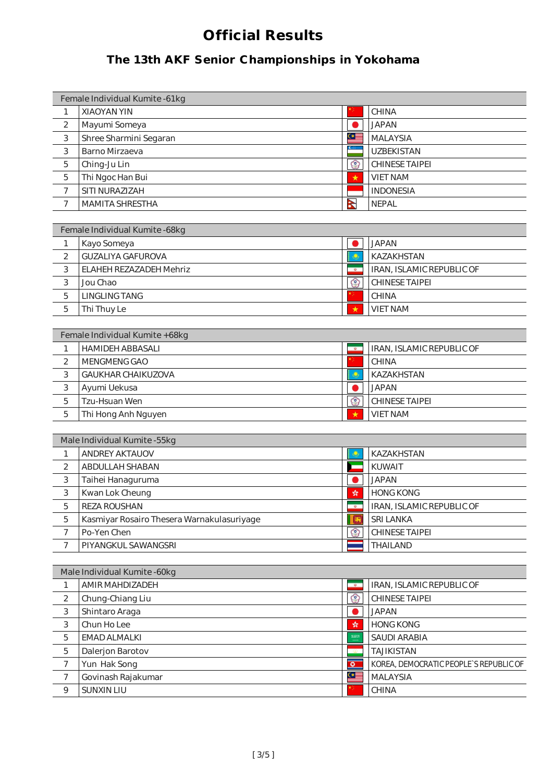| Female Individual Kumite -61kg |                        |              |                       |
|--------------------------------|------------------------|--------------|-----------------------|
| 1                              | <b>XIAOYAN YIN</b>     |              | <b>CHINA</b>          |
| 2                              | Mayumi Someya          |              | <b>JAPAN</b>          |
| 3                              | Shree Sharmini Segaran | ≌            | <b>MALAYSIA</b>       |
| 3                              | <b>Barno Mirzaeva</b>  |              | <b>UZBEKISTAN</b>     |
| 5                              | Ching-Ju Lin           | ౕ౭           | <b>CHINESE TAIPEI</b> |
| 5                              | Thi Ngoc Han Bui       | ★            | <b>VIET NAM</b>       |
| 7                              | SITI NURAZIZAH         |              | <b>INDONESIA</b>      |
|                                | <b>MAMITA SHRESTHA</b> | $\mathbf{z}$ | <b>NEPAL</b>          |

| Female Individual Kumite - 68kg |                                |               |                                  |
|---------------------------------|--------------------------------|---------------|----------------------------------|
|                                 | Kayo Someya                    |               | <b>JAPAN</b>                     |
| 2                               | <b>GUZALIYA GAFUROVA</b>       |               | KAZAKHSTAN                       |
| 3                               | <b>ELAHEH REZAZADEH Mehriz</b> | $\Phi$        | <b>IRAN, ISLAMIC REPUBLIC OF</b> |
| 3                               | Jou Chao                       | $\mathcal{C}$ | <b>CHINESE TAIPEI</b>            |
| 5                               | <b>LINGLING TANG</b>           |               | <b>CHINA</b>                     |
| 5                               | Thi Thuy Le                    | ★             | <b>VIET NAM</b>                  |

| Female Individual Kumite + 68kg |                           |           |                                  |  |
|---------------------------------|---------------------------|-----------|----------------------------------|--|
|                                 | <b>HAMIDEH ABBASALI</b>   | <b>da</b> | <b>IRAN, ISLAMIC REPUBLIC OF</b> |  |
| 2                               | MENGMENG GAO              |           | <b>CHINA</b>                     |  |
| 3                               | <b>GAUKHAR CHAIKUZOVA</b> |           | <b>KAZAKHSTAN</b>                |  |
| 3                               | Ayumi Uekusa              |           | <b>JAPAN</b>                     |  |
| 5                               | <b>Tzu-Hsuan Wen</b>      | $\circ$   | <b>CHINESE TAIPEI</b>            |  |
| 5                               | Thi Hong Anh Nguyen       | *         | <b>VIET NAM</b>                  |  |

|   | Male Individual Kumite - 55kg              |     |                           |  |
|---|--------------------------------------------|-----|---------------------------|--|
|   | <b>ANDREY AKTAUOV</b>                      |     | <b>KAZAKHSTAN</b>         |  |
| 2 | ABDULLAH SHABAN                            |     | <b>KUWAIT</b>             |  |
| 3 | Taihei Hanaguruma                          |     | <b>JAPAN</b>              |  |
| 3 | Kwan Lok Cheung                            | 螃   | <b>HONG KONG</b>          |  |
| 5 | <b>REZA ROUSHAN</b>                        |     | IRAN, ISLAMIC REPUBLIC OF |  |
| 5 | Kasmiyar Rosairo Thesera Warnakulasuriyage |     | <b>SRI LANKA</b>          |  |
|   | Po-Yen Chen                                | က္က | <b>CHINESE TAIPEI</b>     |  |
|   | PIYANGKUL SAWANGSRI                        |     | <b>THAILAND</b>           |  |

|   | Male Individual Kumite - 60kg |             |                                        |
|---|-------------------------------|-------------|----------------------------------------|
|   | AMIR MAHDIZADEH               | $\omega$    | IRAN, ISLAMIC REPUBLIC OF              |
| 2 | Chung-Chiang Liu              | Co.         | <b>CHINESE TAIPEI</b>                  |
| 3 | Shintaro Araga                |             | <b>JAPAN</b>                           |
| 3 | Chun Ho Lee                   | 螵           | <b>HONG KONG</b>                       |
| 5 | EMAD ALMALKI                  | \$3913      | <b>SAUDI ARABIA</b>                    |
| 5 | Dalerjon Barotov              |             | <b>TAJIKISTAN</b>                      |
| 7 | Yun Hak Song                  | $\circ$     | KOREA, DEMOCRATIC PEOPLE'S REPUBLIC OF |
| 7 | Govinash Rajakumar            | $\subseteq$ | <b>MALAYSIA</b>                        |
| 9 | <b>SUNXIN LIU</b>             |             | <b>CHINA</b>                           |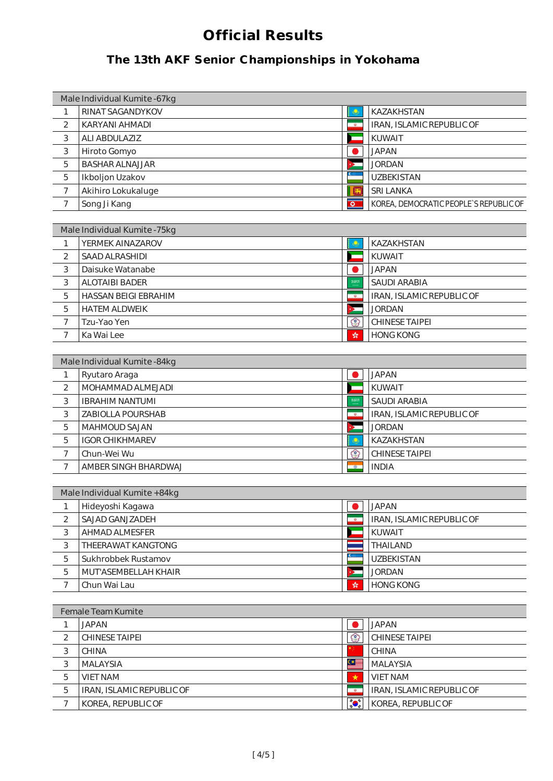| Male Individual Kumite -67kg |                         |          |                                        |  |
|------------------------------|-------------------------|----------|----------------------------------------|--|
|                              | <b>RINAT SAGANDYKOV</b> |          | <b>KAZAKHSTAN</b>                      |  |
| 2                            | KARYANI AHMADI          | ø.       | IRAN, ISLAMIC REPUBLIC OF              |  |
| 3                            | <b>ALI ABDULAZIZ</b>    |          | <b>KUWAIT</b>                          |  |
| 3                            | Hiroto Gomyo            |          | <b>JAPAN</b>                           |  |
| 5                            | <b>BASHAR ALNAJJAR</b>  |          | <b>JORDAN</b>                          |  |
| 5                            | Ikboljon Uzakov         |          | <b>UZBEKISTAN</b>                      |  |
| 7                            | Akihiro Lokukaluge      |          | <b>SRI LANKA</b>                       |  |
|                              | Song Ji Kang            | $\Omega$ | KOREA, DEMOCRATIC PEOPLE'S REPUBLIC OF |  |

| Male Individual Kumite -75kg |                             |           |                           |
|------------------------------|-----------------------------|-----------|---------------------------|
|                              | YERMEK AINAZAROV            |           | <b>KAZAKHSTAN</b>         |
| 2                            | <b>SAAD ALRASHIDI</b>       |           | <b>KUWAIT</b>             |
| 3                            | Daisuke Watanabe            |           | <b>JAPAN</b>              |
| 3                            | <b>ALOTAIBI BADER</b>       | \$2013    | <b>SAUDI ARABIA</b>       |
| 5                            | <b>HASSAN BEIGI EBRAHIM</b> | $\Phi$    | IRAN, ISLAMIC REPUBLIC OF |
| 5                            | <b>HATEMALDWEIK</b>         |           | <b>JORDAN</b>             |
| 7                            | Tzu-Yao Yen                 | <b>CO</b> | <b>CHINESE TAIPEI</b>     |
| ⇁                            | Ka Wai Lee                  | 绿         | <b>HONG KONG</b>          |

| Male Individual Kumite - 84kg |                          |           |                           |
|-------------------------------|--------------------------|-----------|---------------------------|
|                               | Ryutaro Araga            |           | <b>JAPAN</b>              |
| 2                             | MOHAMMAD ALMEJADI        |           | <b>KUWAIT</b>             |
| 3                             | <b>IBRAHIMNANTUMI</b>    |           | <b>SAUDI ARABIA</b>       |
| 3                             | <b>ZABIOLLA POURSHAB</b> |           | IRAN, ISLAMIC REPUBLIC OF |
| 5                             | <b>MAHMOUD SAJAN</b>     |           | <b>JORDAN</b>             |
| 5                             | <b>IGOR CHIKHMAREV</b>   |           | <b>KAZAKHSTAN</b>         |
| 7                             | Chun-Wei Wu              | °°        | <b>CHINESE TAIPEI</b>     |
| ⇁                             | AMBER SINGH BHARDWAJ     | $\bullet$ | <b>INDIA</b>              |

| Male Individual Kumite + 84kg |                             |   |                           |  |
|-------------------------------|-----------------------------|---|---------------------------|--|
|                               | Hideyoshi Kagawa            |   | JAPAN                     |  |
| 2                             | <b>SAJAD GANJZADEH</b>      |   | IRAN, ISLAMIC REPUBLIC OF |  |
| 3                             | <b>AHMAD ALMESFER</b>       |   | <b>KUWAIT</b>             |  |
| 3                             | THEERAWAT KANGTONG          |   | <b>THAILAND</b>           |  |
| 5                             | Sukhrobbek Rustamov         |   | <b>UZBEKISTAN</b>         |  |
| 5                             | <b>MUT'ASEMBELLAH KHAIR</b> |   | <b>JORDAN</b>             |  |
|                               | Chun Wai Lau                | 蜍 | <b>HONG KONG</b>          |  |

| <b>Female Team Kumite</b> |                           |             |                           |  |  |
|---------------------------|---------------------------|-------------|---------------------------|--|--|
|                           | <b>JAPAN</b>              |             | <b>JAPAN</b>              |  |  |
| $\mathcal{P}$             | <b>CHINESE TAIPEI</b>     | (°)         | <b>CHINESE TAIPEI</b>     |  |  |
| 3                         | <b>CHINA</b>              |             | <b>CHINA</b>              |  |  |
| 3                         | <b>MALAYSIA</b>           | $\subseteq$ | <b>MALAYSIA</b>           |  |  |
| 5                         | <b>VIET NAM</b>           | ★           | <b>VIET NAM</b>           |  |  |
| 5                         | IRAN, ISLAMIC REPUBLIC OF | $\Phi$      | IRAN, ISLAMIC REPUBLIC OF |  |  |
|                           | KOREA, REPUBLIC OF        |             | KOREA, REPUBLIC OF        |  |  |